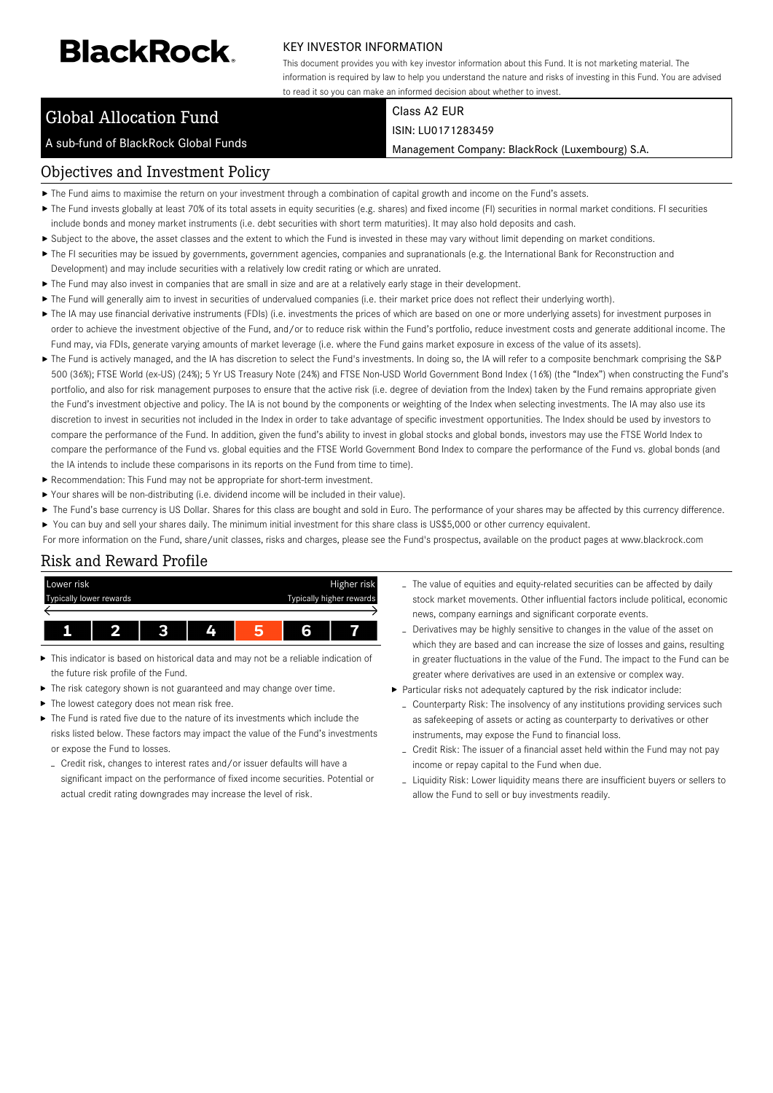# **BlackRock**

#### KEY INVESTOR INFORMATION

This document provides you with key investor information about this Fund. It is not marketing material. The information is required by law to help you understand the nature and risks of investing in this Fund. You are advised to read it so you can make an informed decision about whether to invest.

## Global Allocation Fund

A sub-fund of BlackRock Global Funds

#### Class A2 EUR ISIN: LU0171283459

Management Company: BlackRock (Luxembourg) S.A.

#### Objectives and Investment Policy

- The Fund aims to maximise the return on your investment through a combination of capital growth and income on the Fund's assets.
- ▶ The Fund invests globally at least 70% of its total assets in equity securities (e.g. shares) and fixed income (FI) securities in normal market conditions. FI securities include bonds and money market instruments (i.e. debt securities with short term maturities). It may also hold deposits and cash.
- Subject to the above, the asset classes and the extent to which the Fund is invested in these may vary without limit depending on market conditions.
- ▶ The FI securities may be issued by governments, government agencies, companies and supranationals (e.g. the International Bank for Reconstruction and
- Development) and may include securities with a relatively low credit rating or which are unrated.
- ▶ The Fund may also invest in companies that are small in size and are at a relatively early stage in their development.
- ▶ The Fund will generally aim to invest in securities of undervalued companies (i.e. their market price does not reflect their underlying worth).
- ▶ The IA may use financial derivative instruments (FDIs) (i.e. investments the prices of which are based on one or more underlying assets) for investment purposes in order to achieve the investment objective of the Fund, and/or to reduce risk within the Fund's portfolio, reduce investment costs and generate additional income. The Fund may, via FDIs, generate varying amounts of market leverage (i.e. where the Fund gains market exposure in excess of the value of its assets).
- ▶ The Fund is actively managed, and the IA has discretion to select the Fund's investments. In doing so, the IA will refer to a composite benchmark comprising the S&P 500 (36%); FTSE World (ex-US) (24%); 5 Yr US Treasury Note (24%) and FTSE Non-USD World Government Bond Index (16%) (the "Index") when constructing the Fund's portfolio, and also for risk management purposes to ensure that the active risk (i.e. degree of deviation from the Index) taken by the Fund remains appropriate given the Fund's investment objective and policy. The IA is not bound by the components or weighting of the Index when selecting investments. The IA may also use its discretion to invest in securities not included in the Index in order to take advantage of specific investment opportunities. The Index should be used by investors to compare the performance of the Fund. In addition, given the fund's ability to invest in global stocks and global bonds, investors may use the FTSE World Index to compare the performance of the Fund vs. global equities and the FTSE World Government Bond Index to compare the performance of the Fund vs. global bonds (and the IA intends to include these comparisons in its reports on the Fund from time to time).
- Recommendation: This Fund may not be appropriate for short-term investment.
- Your shares will be non-distributing (i.e. dividend income will be included in their value).
- The Fund's base currency is US Dollar. Shares for this class are bought and sold in Euro. The performance of your shares may be affected by this currency difference. You can buy and sell your shares daily. The minimum initial investment for this share class is US\$5,000 or other currency equivalent.
- For more information on the Fund, share/unit classes, risks and charges, please see the Fund's prospectus, available on the product pages at www.blackrock.com

## Risk and Reward Profile



- This indicator is based on historical data and may not be a reliable indication of the future risk profile of the Fund.
- The risk category shown is not guaranteed and may change over time.
- The lowest category does not mean risk free.
- The Fund is rated five due to the nature of its investments which include the risks listed below. These factors may impact the value of the Fund's investments or expose the Fund to losses.
- Credit risk, changes to interest rates and/or issuer defaults will have a significant impact on the performance of fixed income securities. Potential or actual credit rating downgrades may increase the level of risk.
- The value of equities and equity-related securities can be affected by daily stock market movements. Other influential factors include political, economic news, company earnings and significant corporate events.
- Derivatives may be highly sensitive to changes in the value of the asset on which they are based and can increase the size of losses and gains, resulting in greater fluctuations in the value of the Fund. The impact to the Fund can be greater where derivatives are used in an extensive or complex way.
- Particular risks not adequately captured by the risk indicator include:
	- Counterparty Risk: The insolvency of any institutions providing services such as safekeeping of assets or acting as counterparty to derivatives or other instruments, may expose the Fund to financial loss.
	- Credit Risk: The issuer of a financial asset held within the Fund may not pay income or repay capital to the Fund when due.
	- Liquidity Risk: Lower liquidity means there are insufficient buyers or sellers to allow the Fund to sell or buy investments readily.